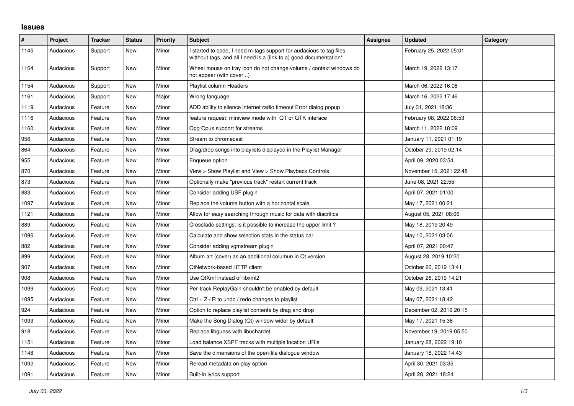## **Issues**

| #    | Project   | <b>Tracker</b> | <b>Status</b> | <b>Priority</b> | <b>Subject</b>                                                                                                                            | Assignee | <b>Updated</b>          | Category |
|------|-----------|----------------|---------------|-----------------|-------------------------------------------------------------------------------------------------------------------------------------------|----------|-------------------------|----------|
| 1145 | Audacious | Support        | New           | Minor           | I started to code, I need m-tags support for audacious to tag files<br>witthout tags, and all I need is a (link to a) good documentation* |          | February 25, 2022 05:01 |          |
| 1164 | Audacious | Support        | New           | Minor           | Wheel mouse on tray icon do not change volume / context windows do<br>not appear (with cover)                                             |          | March 19, 2022 13:17    |          |
| 1154 | Audacious | Support        | New           | Minor           | Playlist column Headers                                                                                                                   |          | March 06, 2022 16:06    |          |
| 1161 | Audacious | Support        | <b>New</b>    | Major           | Wrong language                                                                                                                            |          | March 16, 2022 17:46    |          |
| 1119 | Audacious | Feature        | <b>New</b>    | Minor           | ADD ability to silence internet radio timeout Error dialog popup                                                                          |          | July 31, 2021 18:36     |          |
| 1116 | Audacious | Feature        | New           | Minor           | feature request: miniview mode with QT or GTK interace                                                                                    |          | February 08, 2022 06:53 |          |
| 1160 | Audacious | Feature        | New           | Minor           | Ogg Opus support for streams                                                                                                              |          | March 11, 2022 18:09    |          |
| 956  | Audacious | Feature        | New           | Minor           | Stream to chromecast                                                                                                                      |          | January 11, 2021 01:19  |          |
| 864  | Audacious | Feature        | New           | Minor           | Drag/drop songs into playlists displayed in the Playlist Manager                                                                          |          | October 29, 2019 02:14  |          |
| 955  | Audacious | Feature        | New           | Minor           | Enqueue option                                                                                                                            |          | April 09, 2020 03:54    |          |
| 870  | Audacious | Feature        | <b>New</b>    | Minor           | View > Show Playlist and View > Show Playback Controls                                                                                    |          | November 15, 2021 22:48 |          |
| 873  | Audacious | Feature        | <b>New</b>    | Minor           | Optionally make "previous track" restart current track                                                                                    |          | June 08, 2021 22:55     |          |
| 883  | Audacious | Feature        | New           | Minor           | Consider adding USF plugin                                                                                                                |          | April 07, 2021 01:00    |          |
| 1097 | Audacious | Feature        | <b>New</b>    | Minor           | Replace the volume button with a horizontal scale                                                                                         |          | May 17, 2021 00:21      |          |
| 1121 | Audacious | Feature        | New           | Minor           | Allow for easy searching through music for data with diacritics                                                                           |          | August 05, 2021 08:06   |          |
| 889  | Audacious | Feature        | New           | Minor           | Crossfade settings: is it possible to increase the upper limit?                                                                           |          | May 18, 2019 20:49      |          |
| 1096 | Audacious | Feature        | New           | Minor           | Calculate and show selection stats in the status bar                                                                                      |          | May 10, 2021 03:06      |          |
| 882  | Audacious | Feature        | New           | Minor           | Consider adding vgmstream plugin                                                                                                          |          | April 07, 2021 00:47    |          |
| 899  | Audacious | Feature        | New           | Minor           | Album art (cover) as an additional columun in Qt version                                                                                  |          | August 28, 2019 10:20   |          |
| 907  | Audacious | Feature        | <b>New</b>    | Minor           | QtNetwork-based HTTP client                                                                                                               |          | October 26, 2019 13:41  |          |
| 908  | Audacious | Feature        | New           | Minor           | Use QtXml instead of libxml2                                                                                                              |          | October 26, 2019 14:21  |          |
| 1099 | Audacious | Feature        | New           | Minor           | Per-track ReplayGain shouldn't be enabled by default                                                                                      |          | May 09, 2021 13:41      |          |
| 1095 | Audacious | Feature        | <b>New</b>    | Minor           | Ctrl $+$ Z / R to undo / redo changes to playlist                                                                                         |          | May 07, 2021 18:42      |          |
| 924  | Audacious | Feature        | New           | Minor           | Option to replace playlist contents by drag and drop                                                                                      |          | December 02, 2019 20:15 |          |
| 1093 | Audacious | Feature        | New           | Minor           | Make the Song Dialog (Qt) window wider by default                                                                                         |          | May 17, 2021 15:36      |          |
| 918  | Audacious | Feature        | <b>New</b>    | Minor           | Replace libguess with libuchardet                                                                                                         |          | November 19, 2019 05:50 |          |
| 1151 | Audacious | Feature        | <b>New</b>    | Minor           | Load balance XSPF tracks with multiple location URIs                                                                                      |          | January 28, 2022 19:10  |          |
| 1148 | Audacious | Feature        | New           | Minor           | Save the dimensions of the open-file dialogue window                                                                                      |          | January 18, 2022 14:43  |          |
| 1092 | Audacious | Feature        | <b>New</b>    | Minor           | Reread metadata on play option                                                                                                            |          | April 30, 2021 03:35    |          |
| 1091 | Audacious | Feature        | <b>New</b>    | Minor           | Built-in lyrics support                                                                                                                   |          | April 28, 2021 18:24    |          |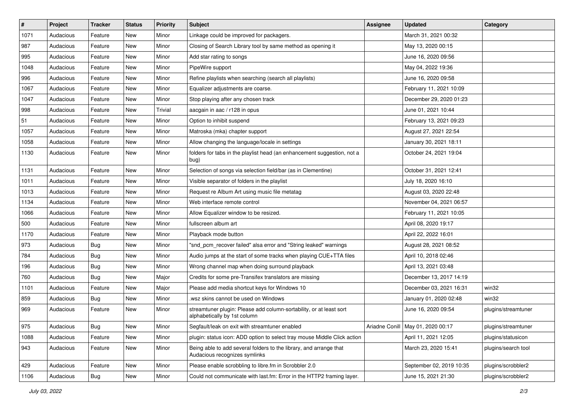| $\vert$ # | Project   | <b>Tracker</b> | <b>Status</b> | <b>Priority</b> | <b>Subject</b>                                                                                      | <b>Assignee</b> | <b>Updated</b>                      | Category            |
|-----------|-----------|----------------|---------------|-----------------|-----------------------------------------------------------------------------------------------------|-----------------|-------------------------------------|---------------------|
| 1071      | Audacious | Feature        | New           | Minor           | Linkage could be improved for packagers.                                                            |                 | March 31, 2021 00:32                |                     |
| 987       | Audacious | Feature        | New           | Minor           | Closing of Search Library tool by same method as opening it                                         |                 | May 13, 2020 00:15                  |                     |
| 995       | Audacious | Feature        | New           | Minor           | Add star rating to songs                                                                            |                 | June 16, 2020 09:56                 |                     |
| 1048      | Audacious | Feature        | New           | Minor           | PipeWire support                                                                                    |                 | May 04, 2022 19:36                  |                     |
| 996       | Audacious | Feature        | New           | Minor           | Refine playlists when searching (search all playlists)                                              |                 | June 16, 2020 09:58                 |                     |
| 1067      | Audacious | Feature        | New           | Minor           | Equalizer adjustments are coarse.                                                                   |                 | February 11, 2021 10:09             |                     |
| 1047      | Audacious | Feature        | New           | Minor           | Stop playing after any chosen track                                                                 |                 | December 29, 2020 01:23             |                     |
| 998       | Audacious | Feature        | New           | Trivial         | aacgain in aac / r128 in opus                                                                       |                 | June 01, 2021 10:44                 |                     |
| 51        | Audacious | Feature        | New           | Minor           | Option to inhibit suspend                                                                           |                 | February 13, 2021 09:23             |                     |
| 1057      | Audacious | Feature        | New           | Minor           | Matroska (mka) chapter support                                                                      |                 | August 27, 2021 22:54               |                     |
| 1058      | Audacious | Feature        | New           | Minor           | Allow changing the language/locale in settings                                                      |                 | January 30, 2021 18:11              |                     |
| 1130      | Audacious | Feature        | New           | Minor           | folders for tabs in the playlist head (an enhancement suggestion, not a<br>bug)                     |                 | October 24, 2021 19:04              |                     |
| 1131      | Audacious | Feature        | New           | Minor           | Selection of songs via selection field/bar (as in Clementine)                                       |                 | October 31, 2021 12:41              |                     |
| 1011      | Audacious | Feature        | New           | Minor           | Visible separator of folders in the playlist                                                        |                 | July 18, 2020 16:10                 |                     |
| 1013      | Audacious | Feature        | New           | Minor           | Request re Album Art using music file metatag                                                       |                 | August 03, 2020 22:48               |                     |
| 1134      | Audacious | Feature        | New           | Minor           | Web interface remote control                                                                        |                 | November 04, 2021 06:57             |                     |
| 1066      | Audacious | Feature        | New           | Minor           | Allow Equalizer window to be resized.                                                               |                 | February 11, 2021 10:05             |                     |
| 500       | Audacious | Feature        | New           | Minor           | fullscreen album art                                                                                |                 | April 08, 2020 19:17                |                     |
| 1170      | Audacious | Feature        | New           | Minor           | Playback mode button                                                                                |                 | April 22, 2022 16:01                |                     |
| 973       | Audacious | Bug            | New           | Minor           | "snd_pcm_recover failed" alsa error and "String leaked" warnings                                    |                 | August 28, 2021 08:52               |                     |
| 784       | Audacious | <b>Bug</b>     | New           | Minor           | Audio jumps at the start of some tracks when playing CUE+TTA files                                  |                 | April 10, 2018 02:46                |                     |
| 196       | Audacious | <b>Bug</b>     | New           | Minor           | Wrong channel map when doing surround playback                                                      |                 | April 13, 2021 03:48                |                     |
| 760       | Audacious | <b>Bug</b>     | New           | Major           | Credits for some pre-Transifex translators are missing                                              |                 | December 13, 2017 14:19             |                     |
| 1101      | Audacious | Feature        | New           | Major           | Please add media shortcut keys for Windows 10                                                       |                 | December 03, 2021 16:31             | win32               |
| 859       | Audacious | <b>Bug</b>     | New           | Minor           | wsz skins cannot be used on Windows                                                                 |                 | January 01, 2020 02:48              | win32               |
| 969       | Audacious | Feature        | New           | Minor           | streamtuner plugin: Please add column-sortability, or at least sort<br>alphabetically by 1st column |                 | June 16, 2020 09:54                 | plugins/streamtuner |
| 975       | Audacious | Bug            | New           | Minor           | Segfault/leak on exit with streamtuner enabled                                                      |                 | Ariadne Conill   May 01, 2020 00:17 | plugins/streamtuner |
| 1088      | Audacious | Feature        | New           | Minor           | plugin: status icon: ADD option to select tray mouse Middle Click action                            |                 | April 11, 2021 12:05                | plugins/statusicon  |
| 943       | Audacious | Feature        | New           | Minor           | Being able to add several folders to the library, and arrange that<br>Audacious recognizes symlinks |                 | March 23, 2020 15:41                | plugins/search tool |
| 429       | Audacious | Feature        | New           | Minor           | Please enable scrobbling to libre.fm in Scrobbler 2.0                                               |                 | September 02, 2019 10:35            | plugins/scrobbler2  |
| 1106      | Audacious | Bug            | New           | Minor           | Could not communicate with last.fm: Error in the HTTP2 framing layer.                               |                 | June 15, 2021 21:30                 | plugins/scrobbler2  |